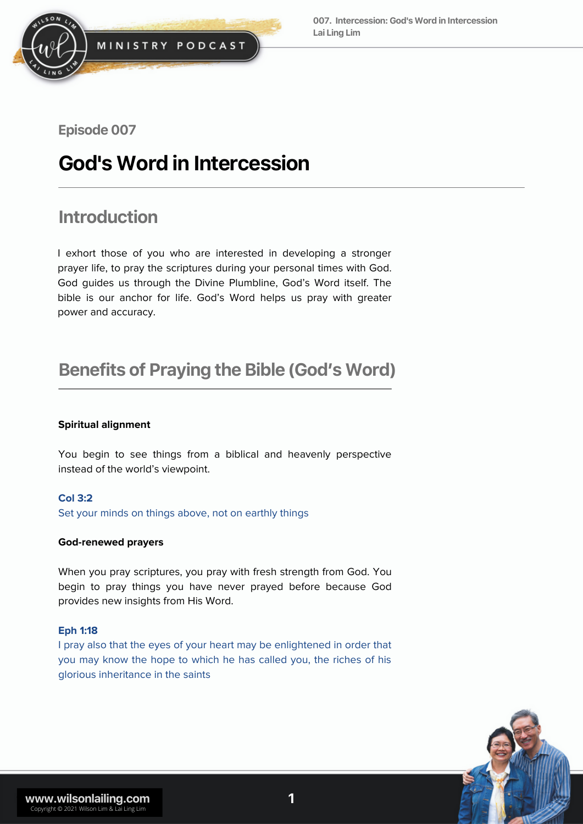

**Episode 007** 

# **God'sWordin Intercession**

# **Introduction**

I exhort those of you who are interested in developing a stronger prayer life, to pray the scriptures during your personal times with God. God guides us through the Divine Plumbline, God's Word itself. The bible is our anchor for life. God's Word helps us pray with greater power and accuracy.

# **Benefits of Praying the Bible (God's Word)**

#### **Spiritual alignment**

You begin to see things from a biblical and heavenly perspective instead of the world's viewpoint.

#### **Col 3:2**

Set your minds on things above, not on earthly things

#### **God-renewed prayers**

When you pray scriptures, you pray with fresh strength from God. You begin to pray things you have never prayed before because God provides new insights from His Word.

#### **Eph 1:18**

I pray also that the eyes of your heart may be enlightened in order that you may know the hope to which he has called you, the riches of his glorious inheritance in the saints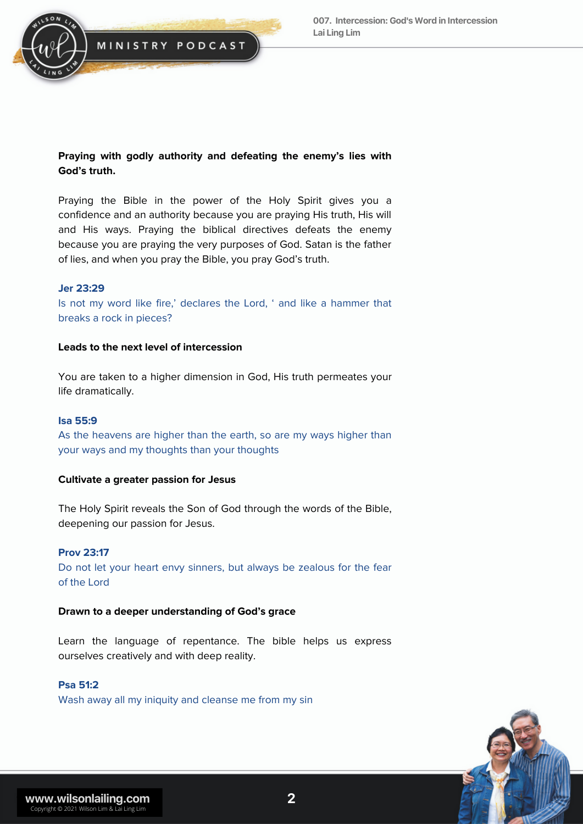

#### **Praying with godly authority and defeating the enemy's lies with God's truth.**

Praying the Bible in the power of the Holy Spirit gives you a confidence and an authority because you are praying His truth, His will and His ways. Praying the biblical directives defeats the enemy because you are praying the very purposes of God. Satan is the father of lies, and when you pray the Bible, you pray God's truth.

#### **Jer 23:29**

Is not my word like fire,' declares the Lord, ' and like a hammer that breaks a rock in pieces?

#### **Leads to the next level of intercession**

You are taken to a higher dimension in God, His truth permeates your life dramatically.

#### **Isa 55:9**

As the heavens are higher than the earth, so are my ways higher than your ways and my thoughts than your thoughts

#### **Cultivate a greater passion for Jesus**

The Holy Spirit reveals the Son of God through the words of the Bible, deepening our passion for Jesus.

#### **Prov 23:17**

Do not let your heart envy sinners, but always be zealous for the fear of the Lord

#### **Drawn to a deeper understanding of God's grace**

Learn the language of repentance. The bible helps us express ourselves creatively and with deep reality.

#### **Psa 51:2**

Wash away all my iniquity and cleanse me from my sin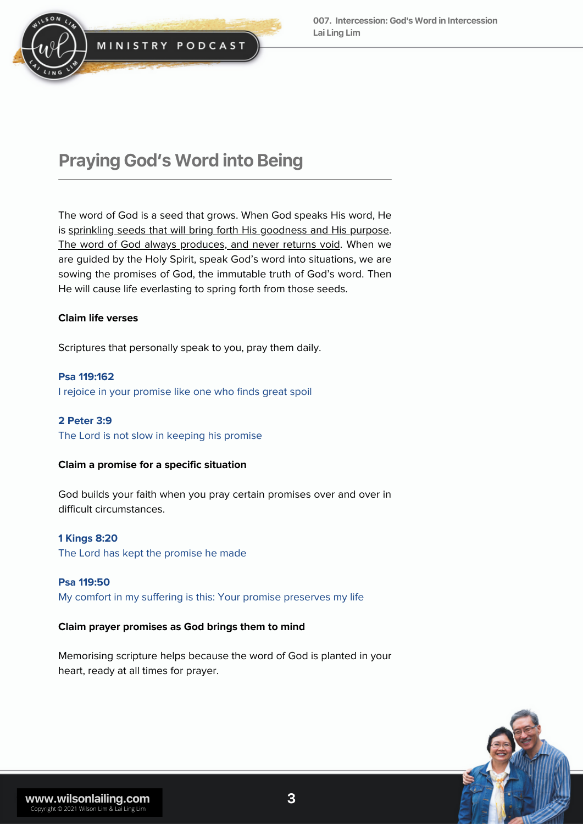

### **Praying God's Word into Being**

The word of God is a seed that grows. When God speaks His word, He is sprinkling seeds that will bring forth His goodness and His purpose. The word of God always produces, and never returns void. When we are guided by the Holy Spirit, speak God's word into situations, we are sowing the promises of God, the immutable truth of God's word. Then He will cause life everlasting to spring forth from those seeds.

#### **Claim life verses**

Scriptures that personally speak to you, pray them daily.

**Psa 119:162** I rejoice in your promise like one who finds great spoil

#### **2 Peter 3:9** The Lord is not slow in keeping his promise

### **Claim a promise for a specific situation**

God builds your faith when you pray certain promises over and over in difficult circumstances.

**1 Kings 8:20**

The Lord has kept the promise he made

**Psa 119:50** My comfort in my suffering is this: Your promise preserves my life

#### **Claim prayer promises as God brings them to mind**

Memorising scripture helps because the word of God is planted in your heart, ready at all times for prayer.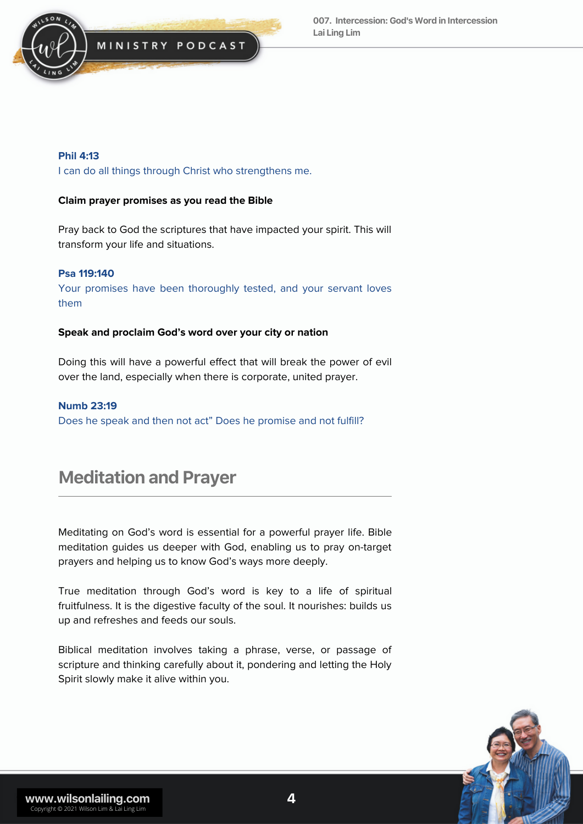

#### **Phil 4:13**

I can do all things through Christ who strengthens me.

#### **Claim prayer promises as you read the Bible**

Pray back to God the scriptures that have impacted your spirit. This will transform your life and situations.

#### **Psa 119:140**

Your promises have been thoroughly tested, and your servant loves them

#### **Speak and proclaim God's word over your city or nation**

Doing this will have a powerful effect that will break the power of evil over the land, especially when there is corporate, united prayer.

#### **Numb 23:19**

Does he speak and then not act" Does he promise and not fulfill?

## **Meditation and Prayer**

Meditating on God's word is essential for a powerful prayer life. Bible meditation guides us deeper with God, enabling us to pray on-target prayers and helping us to know God's ways more deeply.

True meditation through God's word is key to a life of spiritual fruitfulness. It is the digestive faculty of the soul. It nourishes: builds us up and refreshes and feeds our souls.

Biblical meditation involves taking a phrase, verse, or passage of scripture and thinking carefully about it, pondering and letting the Holy Spirit slowly make it alive within you.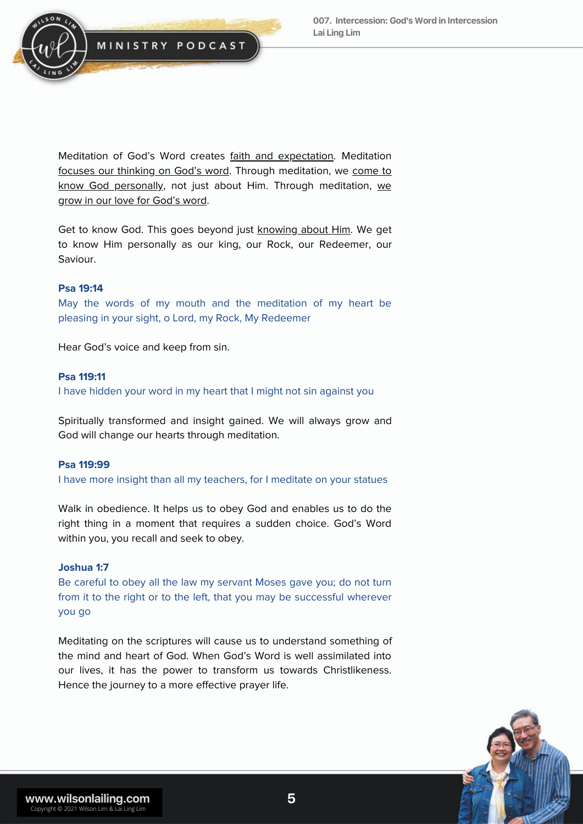

Meditation of God's Word creates faith and expectation. Meditation focuses our thinking on God's word. Through meditation, we come to know God personally, not just about Him. Through meditation, we grow in our love for God's word.

Get to know God. This goes beyond just knowing about Him. We get to know Him personally as our king, our Rock, our Redeemer, our Saviour.

#### **Psa 19:14**

May the words of my mouth and the meditation of my heart be pleasing in your sight, o Lord, my Rock, My Redeemer

Hear God's voice and keep from sin.

#### **Psa 119:11**

I have hidden your word in my heart that I might not sin against you

Spiritually transformed and insight gained. We will always grow and God will change our hearts through meditation.

#### **Psa 119:99**

I have more insight than all my teachers, for I meditate on your statues

Walk in obedience. It helps us to obey God and enables us to do the right thing in a moment that requires a sudden choice. God's Word within you, you recall and seek to obey.

#### **Joshua 1:7**

Be careful to obey all the law my servant Moses gave you; do not turn from it to the right or to the left, that you may be successful wherever you go

Meditating on the scriptures will cause us to understand something of the mind and heart of God. When God's Word is well assimilated into our lives, it has the power to transform us towards Christlikeness. Hence the journey to a more effective prayer life.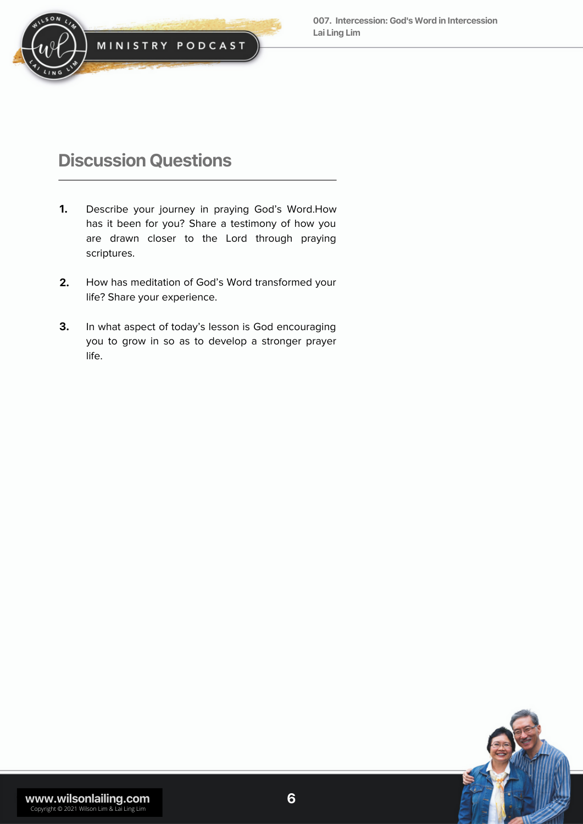

# **Discussion Questions**

- Describe your journey in praying God's Word.How has it been for you? Share a testimony of how you are drawn closer to the Lord through praying scriptures. **1.**
- How has meditation of God's Word transformed your life? Share your experience. **2.**
- In what aspect of today's lesson is God encouraging you to grow in so as to develop a stronger prayer life. **3.**